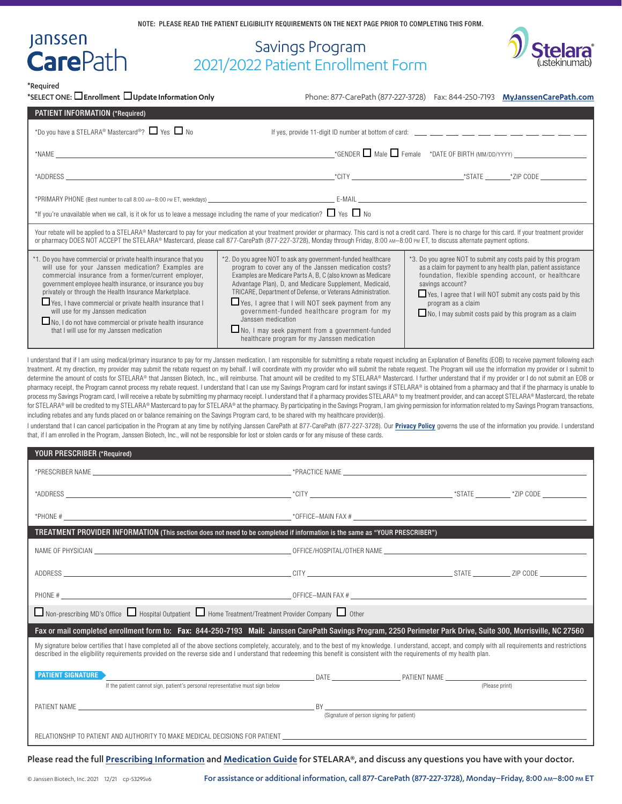# Savings Program 2021/2022 Patient Enrollment Form



\*Required

Janssen<br>**Care**Path

| *SELECT ONE: $\Box$ Enrollment $\Box$ Update Information Only                                                                                                                                                                                                                                                                                                                                                                                                                                                                                                                                                                                                                                                                                                                                                                                                                                                                                                                                                                                                                                                                                                                                                                                                                                                                                                                                                                                                                                                                                                                                                                                                                                                                                                                                                                                                                                  |                                                                                                                                                                                                                                                                                                                                                                                                                                                                                                                                             | Phone: 877-CarePath (877-227-3728)  Fax: 844-250-7193  MyJanssenCarePath.com                                                                                                                                                                                                                                                                             |  |
|------------------------------------------------------------------------------------------------------------------------------------------------------------------------------------------------------------------------------------------------------------------------------------------------------------------------------------------------------------------------------------------------------------------------------------------------------------------------------------------------------------------------------------------------------------------------------------------------------------------------------------------------------------------------------------------------------------------------------------------------------------------------------------------------------------------------------------------------------------------------------------------------------------------------------------------------------------------------------------------------------------------------------------------------------------------------------------------------------------------------------------------------------------------------------------------------------------------------------------------------------------------------------------------------------------------------------------------------------------------------------------------------------------------------------------------------------------------------------------------------------------------------------------------------------------------------------------------------------------------------------------------------------------------------------------------------------------------------------------------------------------------------------------------------------------------------------------------------------------------------------------------------|---------------------------------------------------------------------------------------------------------------------------------------------------------------------------------------------------------------------------------------------------------------------------------------------------------------------------------------------------------------------------------------------------------------------------------------------------------------------------------------------------------------------------------------------|----------------------------------------------------------------------------------------------------------------------------------------------------------------------------------------------------------------------------------------------------------------------------------------------------------------------------------------------------------|--|
| PATIENT INFORMATION (*Required)                                                                                                                                                                                                                                                                                                                                                                                                                                                                                                                                                                                                                                                                                                                                                                                                                                                                                                                                                                                                                                                                                                                                                                                                                                                                                                                                                                                                                                                                                                                                                                                                                                                                                                                                                                                                                                                                |                                                                                                                                                                                                                                                                                                                                                                                                                                                                                                                                             |                                                                                                                                                                                                                                                                                                                                                          |  |
| *Do you have a STELARA® Mastercard®? Ves No                                                                                                                                                                                                                                                                                                                                                                                                                                                                                                                                                                                                                                                                                                                                                                                                                                                                                                                                                                                                                                                                                                                                                                                                                                                                                                                                                                                                                                                                                                                                                                                                                                                                                                                                                                                                                                                    |                                                                                                                                                                                                                                                                                                                                                                                                                                                                                                                                             |                                                                                                                                                                                                                                                                                                                                                          |  |
| $*NAME$                                                                                                                                                                                                                                                                                                                                                                                                                                                                                                                                                                                                                                                                                                                                                                                                                                                                                                                                                                                                                                                                                                                                                                                                                                                                                                                                                                                                                                                                                                                                                                                                                                                                                                                                                                                                                                                                                        |                                                                                                                                                                                                                                                                                                                                                                                                                                                                                                                                             | $\Gamma$ CENDER $\Box$ Male $\Box$ Female $\Gamma$ *DATE OF BIRTH (MM/DD/YYYY) $\Box$                                                                                                                                                                                                                                                                    |  |
|                                                                                                                                                                                                                                                                                                                                                                                                                                                                                                                                                                                                                                                                                                                                                                                                                                                                                                                                                                                                                                                                                                                                                                                                                                                                                                                                                                                                                                                                                                                                                                                                                                                                                                                                                                                                                                                                                                |                                                                                                                                                                                                                                                                                                                                                                                                                                                                                                                                             |                                                                                                                                                                                                                                                                                                                                                          |  |
|                                                                                                                                                                                                                                                                                                                                                                                                                                                                                                                                                                                                                                                                                                                                                                                                                                                                                                                                                                                                                                                                                                                                                                                                                                                                                                                                                                                                                                                                                                                                                                                                                                                                                                                                                                                                                                                                                                | *PRIMARY PHONE (Best number to call 8:00 AM-8:00 PM ET, weekdays) example to the state of the state of the state of the state of the state of the state of the state of the state of the state of the state of the state of th                                                                                                                                                                                                                                                                                                              |                                                                                                                                                                                                                                                                                                                                                          |  |
| *If you're unavailable when we call, is it ok for us to leave a message including the name of your medication? $\Box$ Yes $\Box$ No                                                                                                                                                                                                                                                                                                                                                                                                                                                                                                                                                                                                                                                                                                                                                                                                                                                                                                                                                                                                                                                                                                                                                                                                                                                                                                                                                                                                                                                                                                                                                                                                                                                                                                                                                            |                                                                                                                                                                                                                                                                                                                                                                                                                                                                                                                                             |                                                                                                                                                                                                                                                                                                                                                          |  |
|                                                                                                                                                                                                                                                                                                                                                                                                                                                                                                                                                                                                                                                                                                                                                                                                                                                                                                                                                                                                                                                                                                                                                                                                                                                                                                                                                                                                                                                                                                                                                                                                                                                                                                                                                                                                                                                                                                | Your rebate will be applied to a STELARA® Mastercard to pay for your medication at your treatment provider or pharmacy. This card is not a credit card. There is no charge for this card. If your treatment provider<br>or pharmacy DOES NOT ACCEPT the STELARA® Mastercard, please call 877-CarePath (877-227-3728), Monday through Friday, 8:00 AM-8:00 PM ET, to discuss alternate payment options.                                                                                                                                      |                                                                                                                                                                                                                                                                                                                                                          |  |
| *1. Do you have commercial or private health insurance that you<br>will use for your Janssen medication? Examples are<br>commercial insurance from a former/current employer,<br>government employee health insurance, or insurance you buy<br>privately or through the Health Insurance Marketplace.<br>Ves, I have commercial or private health insurance that I<br>will use for my Janssen medication<br>No, I do not have commercial or private health insurance<br>that I will use for my Janssen medication                                                                                                                                                                                                                                                                                                                                                                                                                                                                                                                                                                                                                                                                                                                                                                                                                                                                                                                                                                                                                                                                                                                                                                                                                                                                                                                                                                              | *2. Do you agree NOT to ask any government-funded healthcare<br>program to cover any of the Janssen medication costs?<br>Examples are Medicare Parts A, B, C (also known as Medicare<br>Advantage Plan), D, and Medicare Supplement, Medicaid,<br>TRICARE, Department of Defense, or Veterans Administration.<br>Yes, I agree that I will NOT seek payment from any<br>government-funded healthcare program for my<br>Janssen medication<br>No, I may seek payment from a government-funded<br>healthcare program for my Janssen medication | *3. Do you agree NOT to submit any costs paid by this program<br>as a claim for payment to any health plan, patient assistance<br>foundation, flexible spending account, or healthcare<br>savings account?<br>Yes, I agree that I will NOT submit any costs paid by this<br>program as a claim<br>No, I may submit costs paid by this program as a claim |  |
| I understand that if I am using medical/primary insurance to pay for my Janssen medication, I am responsible for submitting a rebate request including an Explanation of Benefits (EOB) to receive payment following each<br>treatment. At my direction, my provider may submit the rebate request on my behalf. I will coordinate with my provider who will submit the rebate request. The Program will use the information my provider or I submit to<br>determine the amount of costs for STELARA® that Janssen Biotech, Inc., will reimburse. That amount will be credited to my STELARA® Mastercard. I further understand that if my provider or I do not submit an EOB or<br>pharmacy receipt, the Program cannot process my rebate request. I understand that I can use my Savings Program card for instant savings if STELARA® is obtained from a pharmacy and that if the pharmacy is unable to<br>process my Savings Program card, I will receive a rebate by submitting my pharmacy receipt. I understand that if a pharmacy provides STELARA® to my treatment provider, and can accept STELARA® Mastercard, the rebate<br>for STELARA® will be credited to my STELARA® Mastercard to pay for STELARA® at the pharmacy. By participating in the Savings Program, I am giving permission for information related to my Savings Program transactions,<br>including rebates and any funds placed on or balance remaining on the Savings Program card, to be shared with my healthcare provider(s).<br>I understand that I can cancel participation in the Program at any time by notifying Janssen CarePath at 877-CarePath (877-227-3728). Our <b>Privacy Policy</b> governs the use of the information you provide. I understand<br>that, if I am enrolled in the Program, Janssen Biotech, Inc., will not be responsible for lost or stolen cards or for any misuse of these cards. |                                                                                                                                                                                                                                                                                                                                                                                                                                                                                                                                             |                                                                                                                                                                                                                                                                                                                                                          |  |

| YOUR PRESCRIBER (*Required)                                                                                                                                                                                                                                                                                                                                                                 |                                           |  |  |  |
|---------------------------------------------------------------------------------------------------------------------------------------------------------------------------------------------------------------------------------------------------------------------------------------------------------------------------------------------------------------------------------------------|-------------------------------------------|--|--|--|
|                                                                                                                                                                                                                                                                                                                                                                                             |                                           |  |  |  |
|                                                                                                                                                                                                                                                                                                                                                                                             |                                           |  |  |  |
|                                                                                                                                                                                                                                                                                                                                                                                             |                                           |  |  |  |
| TREATMENT PROVIDER INFORMATION (This section does not need to be completed if information is the same as "YOUR PRESCRIBER")                                                                                                                                                                                                                                                                 |                                           |  |  |  |
| NAME OF PHYSICIAN CONTROL CONTROL CONTROL OF PHYSICIAN CONTROL CONTROL CONTROL CONTROL CONTROL CONTROL CONTROL CONTROL CONTROL CONTROL CONTROL CONTROL CONTROL CONTROL CONTROL CONTROL CONTROL CONTROL CONTROL CONTROL CONTROL                                                                                                                                                              |                                           |  |  |  |
|                                                                                                                                                                                                                                                                                                                                                                                             |                                           |  |  |  |
|                                                                                                                                                                                                                                                                                                                                                                                             |                                           |  |  |  |
| $\Box$ Non-prescribing MD's Office $\Box$ Hospital Outpatient $\Box$ Home Treatment/Treatment Provider Company $\Box$ Other                                                                                                                                                                                                                                                                 |                                           |  |  |  |
| Fax or mail completed enrollment form to: Fax: 844-250-7193 Mail: Janssen CarePath Savings Program, 2250 Perimeter Park Drive, Suite 300, Morrisville, NC 27560                                                                                                                                                                                                                             |                                           |  |  |  |
| My signature below certifies that I have completed all of the above sections completely, accurately, and to the best of my knowledge. I understand, accept, and comply with all requirements and restrictions<br>described in the eligibility requirements provided on the reverse side and I understand that redeeming this benefit is consistent with the requirements of my health plan. |                                           |  |  |  |
|                                                                                                                                                                                                                                                                                                                                                                                             |                                           |  |  |  |
|                                                                                                                                                                                                                                                                                                                                                                                             | (Signature of person signing for patient) |  |  |  |
| RELATIONSHIP TO PATIENT AND AUTHORITY TO MAKE MEDICAL DECISIONS FOR PATIENT                                                                                                                                                                                                                                                                                                                 |                                           |  |  |  |

Please read the full **[Prescribing Information](https://www.janssenlabels.com/package-insert/product-monograph/prescribing-information/STELARA-pi.pdf)** and **[Medication Guide](https://www.janssenlabels.com/package-insert/product-patient-information/STELARA-medication-guide.pdf)** for STELARA®, and discuss any questions you have with your doctor.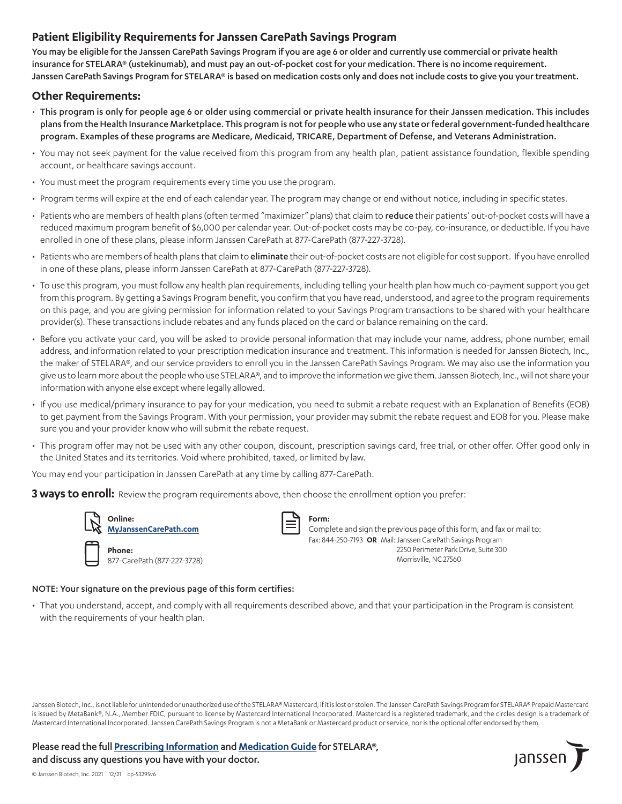#### **Patient Eligibility Requirements for Janssen CarePath Savings Program**

You may be eligible for the Janssen CarePath Savings Program if you are age 6 or older and currently use commercial or private health insurance for STELARA® (ustekinumab), and must pay an out-of-pocket cost for your medication. There is no income requirement. Janssen CarePath Savings Program for STELARA® is based on medication costs only and does not include costs to give you your treatment.

#### **Other Requirements:**

- This program is only for people age 6 or older using commercial or private health insurance for their Janssen medication. This includes plans from the Health Insurance Marketplace. This program is not for people who use any state or federal government-funded healthcare program. Examples of these programs are Medicare, Medicaid, TRICARE, Department of Defense, and Veterans Administration.
- You may not seek payment for the value received from this program from any health plan, patient assistance foundation, flexible spending account, or healthcare savings account.
- You must meet the program requirements every time you use the program.
- Program terms will expire at the end of each calendar year. The program may change or end without notice, including in specific states.
- Patients who are members of health plans (often termed "maximizer" plans) that claim to reduce their patients' out-of-pocket costs will have a reduced maximum program benefit of \$6,000 per calendar year. Out-of-pocket costs may be co-pay, co-insurance, or deductible. If you have enrolled in one of these plans, please inform Janssen CarePath at 877-CarePath (877-227-3728).
- Patients who are members of health plans that claim to eliminate their out-of-pocket costs are not eligible for cost support. If you have enrolled in one of these plans, please inform Janssen CarePath at 877-CarePath (877-227-3728).
- To use this program, you must follow any health plan requirements, including telling your health plan how much co-payment support you get from this program. By getting a Savings Program benefit, you confirm that you have read, understood, and agree to the program requirements on this page, and you are giving permission for information related to your Savings Program transactions to be shared with your healthcare provider(s). These transactions include rebates and any funds placed on the card or balance remaining on the card.
- Before you activate your card, you will be asked to provide personal information that may include your name, address, phone number, email address, and information related to your prescription medication insurance and treatment. This information is needed for Janssen Biotech, Inc., the maker of STELARA®, and our service providers to enroll you in the Janssen CarePath Savings Program. We may also use the information you give us to learn more about the people who use STELARA®, and to improve the information we give them. Janssen Biotech, Inc., will not share your information with anyone else except where legally allowed.
- If you use medical/primary insurance to pay for your medication, you need to submit a rebate request with an Explanation of Benefits (EOB) to get payment from the Savings Program. With your permission, your provider may submit the rebate request and EOB for you. Please make sure you and your provider know who will submit the rebate request.
- This program offer may not be used with any other coupon, discount, prescription savings card, free trial, or other offer. Offer good only in the United States and its territories. Void where prohibited, taxed, or limited by law.

You may end your participation in Janssen CarePath at any time by calling 877-CarePath.

**3 ways to enroll:** Review the program requirements above, then choose the enrollment option you prefer:



**[MyJanssenCarePath.com](https://www.myjanssencarepath.com/s/login/SelfRegister?regBy=Self)**

| Phone:                      |
|-----------------------------|
| 877-CarePath (877-227-3728) |

**Form:** 

Complete and sign the previous page of this form, and fax or mail to: Fax: 844-250-7193 **OR** Mail: Janssen CarePath Savings Program 2250 Perimeter Park Drive, Suite 300 Morrisville, NC 27560

#### NOTE: Your signature on the previous page of this form certifies:

• That you understand, accept, and comply with all requirements described above, and that your participation in the Program is consistent with the requirements of your health plan.

Janssen Biotech, Inc., is not liable for unintended or unauthorized use of the STELARA® Mastercard, if it is lost or stolen. The Janssen CarePath Savings Program for STELARA® Prepaid Mastercard is issued by MetaBank®, N.A., Member FDIC, pursuant to license by Mastercard International Incorporated. Mastercard is a registered trademark, and the circles design is a trademark of Mastercard International Incorporated. Janssen CarePath Savings Program is not a MetaBank or Mastercard product or service, nor is the optional offer endorsed by them.

Please read the full **[Prescribing Information](https://www.janssenlabels.com/package-insert/product-monograph/prescribing-information/STELARA-pi.pdf)** and **[Medication Guide](https://www.janssenlabels.com/package-insert/product-patient-information/STELARA-medication-guide.pdf)** for STELARA®, and discuss any questions you have with your doctor.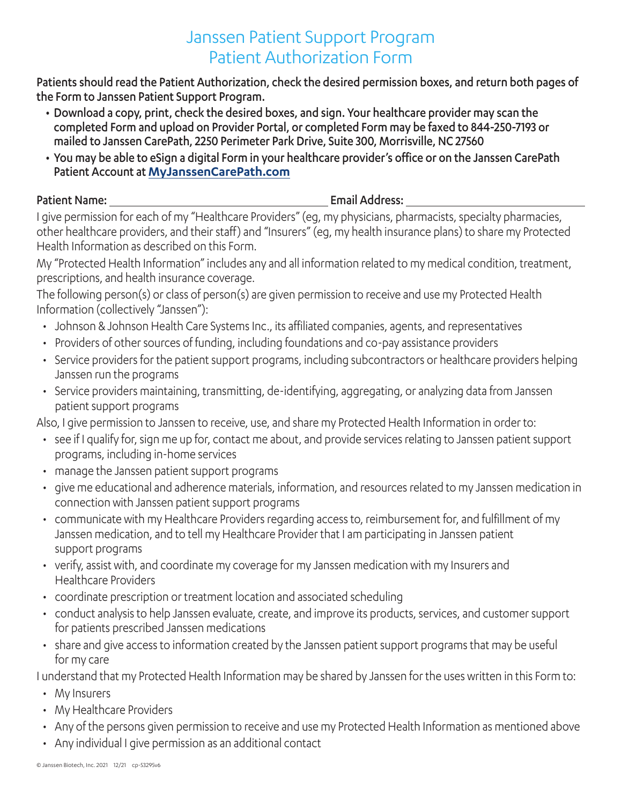## Janssen Patient Support Program Patient Authorization Form

Patients should read the Patient Authorization, check the desired permission boxes, and return both pages of the Form to Janssen Patient Support Program.

- Download a copy, print, check the desired boxes, and sign. Your healthcare provider may scan the completed Form and upload on Provider Portal, or completed Form may be faxed to 844-250-7193 or mailed to Janssen CarePath, 2250 Perimeter Park Drive, Suite 300, Morrisville, NC 27560
- You may be able to eSign a digital Form in your healthcare provider's office or on the Janssen CarePath Patient Account at **[MyJanssenCarePath.com](https://www.myjanssencarepath.com/s/login/SelfRegister?regBy=Self)**

Patient Name: The Contract of the Contract of the Email Address:

I give permission for each of my "Healthcare Providers" (eg, my physicians, pharmacists, specialty pharmacies, other healthcare providers, and their staff) and "Insurers" (eg, my health insurance plans) to share my Protected Health Information as described on this Form.

My "Protected Health Information" includes any and all information related to my medical condition, treatment, prescriptions, and health insurance coverage.

The following person(s) or class of person(s) are given permission to receive and use my Protected Health Information (collectively "Janssen"):

- Johnson & Johnson Health Care Systems Inc., its affiliated companies, agents, and representatives
- Providers of other sources of funding, including foundations and co-pay assistance providers
- Service providers for the patient support programs, including subcontractors or healthcare providers helping Janssen run the programs
- Service providers maintaining, transmitting, de-identifying, aggregating, or analyzing data from Janssen patient support programs

Also, I give permission to Janssen to receive, use, and share my Protected Health Information in order to:

- see if I qualify for, sign me up for, contact me about, and provide services relating to Janssen patient support programs, including in-home services
- manage the Janssen patient support programs
- give me educational and adherence materials, information, and resources related to my Janssen medication in connection with Janssen patient support programs
- communicate with my Healthcare Providers regarding access to, reimbursement for, and fulfillment of my Janssen medication, and to tell my Healthcare Provider that I am participating in Janssen patient support programs
- verify, assist with, and coordinate my coverage for my Janssen medication with my Insurers and Healthcare Providers
- coordinate prescription or treatment location and associated scheduling
- conduct analysis to help Janssen evaluate, create, and improve its products, services, and customer support for patients prescribed Janssen medications
- share and give access to information created by the Janssen patient support programs that may be useful for my care

I understand that my Protected Health Information may be shared by Janssen for the uses written in this Form to:

- My Insurers
- My Healthcare Providers
- Any of the persons given permission to receive and use my Protected Health Information as mentioned above
- Any individual I give permission as an additional contact